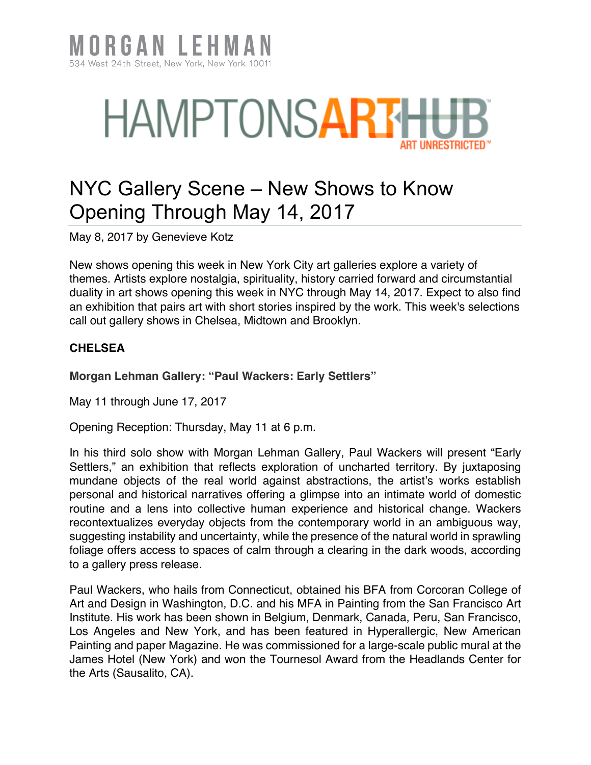

## **HAMPTONSART**

## NYC Gallery Scene – New Shows to Know Opening Through May 14, 2017

May 8, 2017 by Genevieve Kotz

New shows opening this week in New York City art galleries explore a variety of themes. Artists explore nostalgia, spirituality, history carried forward and circumstantial duality in art shows opening this week in NYC through May 14, 2017. Expect to also find an exhibition that pairs art with short stories inspired by the work. This week's selections call out gallery shows in Chelsea, Midtown and Brooklyn.

## **CHELSEA**

**Morgan Lehman Gallery: "Paul Wackers: Early Settlers"**

May 11 through June 17, 2017

Opening Reception: Thursday, May 11 at 6 p.m.

In his third solo show with Morgan Lehman Gallery, Paul Wackers will present "Early Settlers," an exhibition that reflects exploration of uncharted territory. By juxtaposing mundane objects of the real world against abstractions, the artist's works establish personal and historical narratives offering a glimpse into an intimate world of domestic routine and a lens into collective human experience and historical change. Wackers recontextualizes everyday objects from the contemporary world in an ambiguous way, suggesting instability and uncertainty, while the presence of the natural world in sprawling foliage offers access to spaces of calm through a clearing in the dark woods, according to a gallery press release.

Paul Wackers, who hails from Connecticut, obtained his BFA from Corcoran College of Art and Design in Washington, D.C. and his MFA in Painting from the San Francisco Art Institute. His work has been shown in Belgium, Denmark, Canada, Peru, San Francisco, Los Angeles and New York, and has been featured in Hyperallergic, New American Painting and paper Magazine. He was commissioned for a large-scale public mural at the James Hotel (New York) and won the Tournesol Award from the Headlands Center for the Arts (Sausalito, CA).